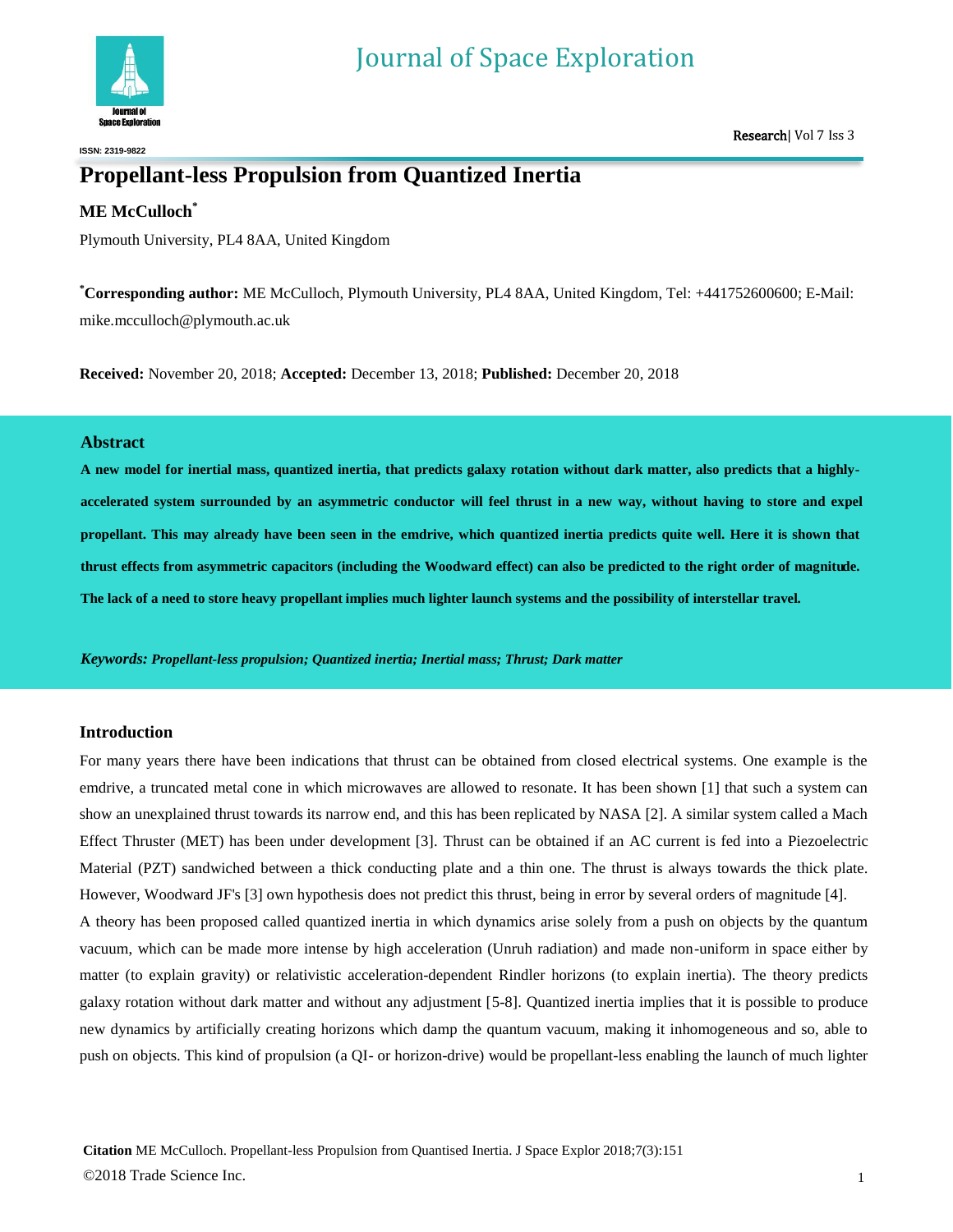

**ISSN: 2319-9822**

# **Propellant-less Propulsion from Quantized Inertia**

## **ME McCulloch\***

Plymouth University, PL4 8AA, United Kingdom

**\*Corresponding author:** ME McCulloch, Plymouth University, PL4 8AA, United Kingdom, Tel: +441752600600; E-Mail: mike.mcculloch@plymouth.ac.uk

**Received:** November 20, 2018; **Accepted:** December 13, 2018; **Published:** December 20, 2018

## **Abstract**

**A new model for inertial mass, quantized inertia, that predicts galaxy rotation without dark matter, also predicts that a highlyaccelerated system surrounded by an asymmetric conductor will feel thrust in a new way, without having to store and expel propellant. This may already have been seen in the emdrive, which quantized inertia predicts quite well. Here it is shown that thrust effects from asymmetric capacitors (including the Woodward effect) can also be predicted to the right order of magnitude. The lack of a need to store heavy propellant implies much lighter launch systems and the possibility of interstellar travel.**

*Keywords: Propellant-less propulsion; Quantized inertia; Inertial mass; Thrust; Dark matter*

## **Introduction**

For many years there have been indications that thrust can be obtained from closed electrical systems. One example is the emdrive, a truncated metal cone in which microwaves are allowed to resonate. It has been shown [1] that such a system can show an unexplained thrust towards its narrow end, and this has been replicated by NASA [2]. A similar system called a Mach Effect Thruster (MET) has been under development [3]. Thrust can be obtained if an AC current is fed into a Piezoelectric Material (PZT) sandwiched between a thick conducting plate and a thin one. The thrust is always towards the thick plate. However, Woodward JF's [3] own hypothesis does not predict this thrust, being in error by several orders of magnitude [4].

A theory has been proposed called quantized inertia in which dynamics arise solely from a push on objects by the quantum vacuum, which can be made more intense by high acceleration (Unruh radiation) and made non-uniform in space either by matter (to explain gravity) or relativistic acceleration-dependent Rindler horizons (to explain inertia). The theory predicts galaxy rotation without dark matter and without any adjustment [5-8]. Quantized inertia implies that it is possible to produce new dynamics by artificially creating horizons which damp the quantum vacuum, making it inhomogeneous and so, able to push on objects. This kind of propulsion (a QI- or horizon-drive) would be propellant-less enabling the launch of much lighter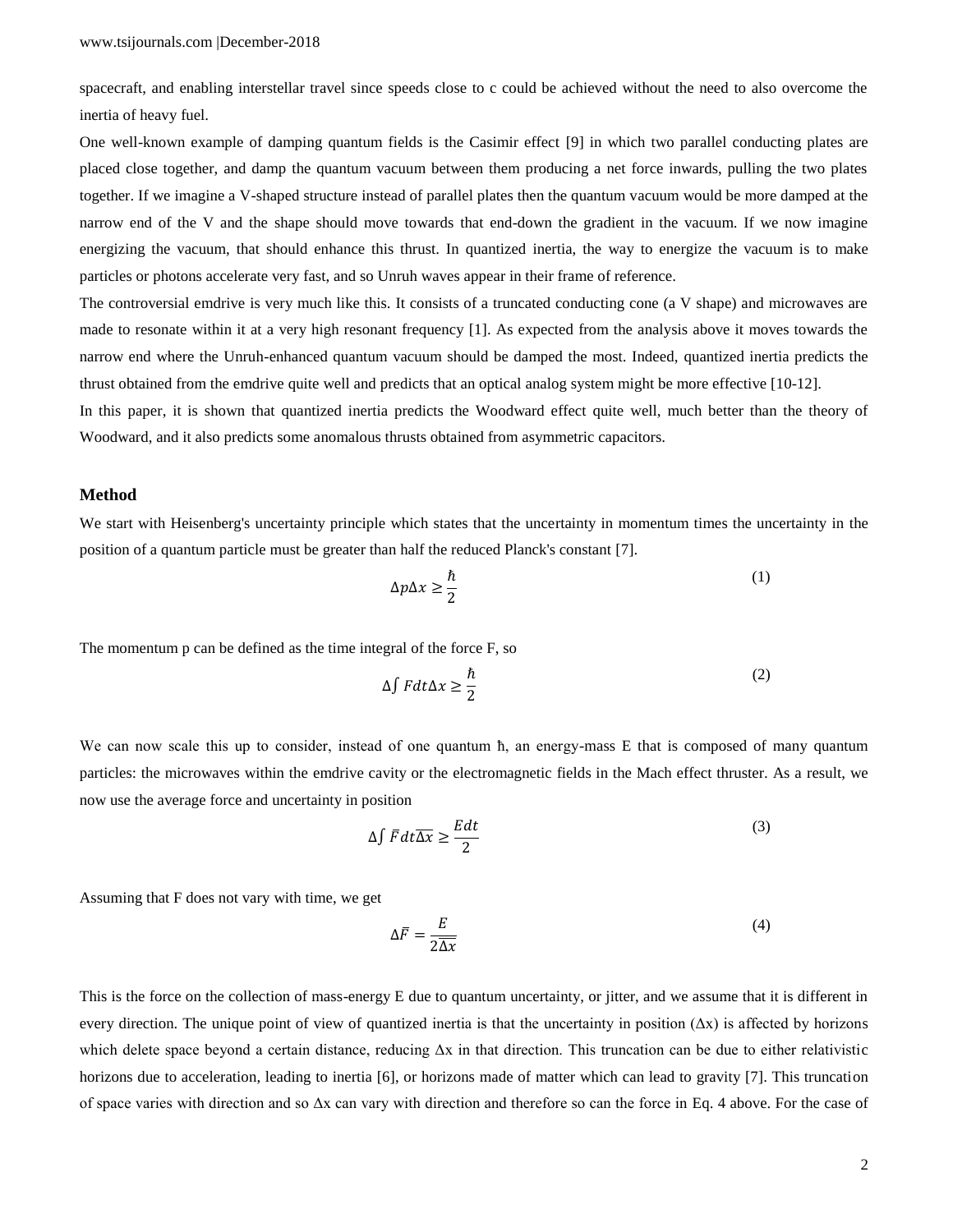spacecraft, and enabling interstellar travel since speeds close to c could be achieved without the need to also overcome the inertia of heavy fuel.

One well-known example of damping quantum fields is the Casimir effect [9] in which two parallel conducting plates are placed close together, and damp the quantum vacuum between them producing a net force inwards, pulling the two plates together. If we imagine a V-shaped structure instead of parallel plates then the quantum vacuum would be more damped at the narrow end of the V and the shape should move towards that end-down the gradient in the vacuum. If we now imagine energizing the vacuum, that should enhance this thrust. In quantized inertia, the way to energize the vacuum is to make particles or photons accelerate very fast, and so Unruh waves appear in their frame of reference.

The controversial emdrive is very much like this. It consists of a truncated conducting cone (a V shape) and microwaves are made to resonate within it at a very high resonant frequency [1]. As expected from the analysis above it moves towards the narrow end where the Unruh-enhanced quantum vacuum should be damped the most. Indeed, quantized inertia predicts the thrust obtained from the emdrive quite well and predicts that an optical analog system might be more effective [10-12].

In this paper, it is shown that quantized inertia predicts the Woodward effect quite well, much better than the theory of Woodward, and it also predicts some anomalous thrusts obtained from asymmetric capacitors.

#### **Method**

We start with Heisenberg's uncertainty principle which states that the uncertainty in momentum times the uncertainty in the position of a quantum particle must be greater than half the reduced Planck's constant [7].

$$
\Delta p \Delta x \ge \frac{\hbar}{2} \tag{1}
$$

The momentum p can be defined as the time integral of the force F, so

$$
\Delta \int F dt \Delta x \ge \frac{\hbar}{2} \tag{2}
$$

We can now scale this up to consider, instead of one quantum  $\hbar$ , an energy-mass E that is composed of many quantum particles: the microwaves within the emdrive cavity or the electromagnetic fields in the Mach effect thruster. As a result, we now use the average force and uncertainty in position

$$
\Delta \int \overline{F} dt \overline{\Delta x} \ge \frac{Edt}{2} \tag{3}
$$

Assuming that F does not vary with time, we get

$$
\Delta \bar{F} = \frac{E}{2\overline{\Delta x}}\tag{4}
$$

This is the force on the collection of mass-energy E due to quantum uncertainty, or jitter, and we assume that it is different in every direction. The unique point of view of quantized inertia is that the uncertainty in position  $(\Delta x)$  is affected by horizons which delete space beyond a certain distance, reducing  $\Delta x$  in that direction. This truncation can be due to either relativistic horizons due to acceleration, leading to inertia [6], or horizons made of matter which can lead to gravity [7]. This truncation of space varies with direction and so Δx can vary with direction and therefore so can the force in Eq. 4 above. For the case of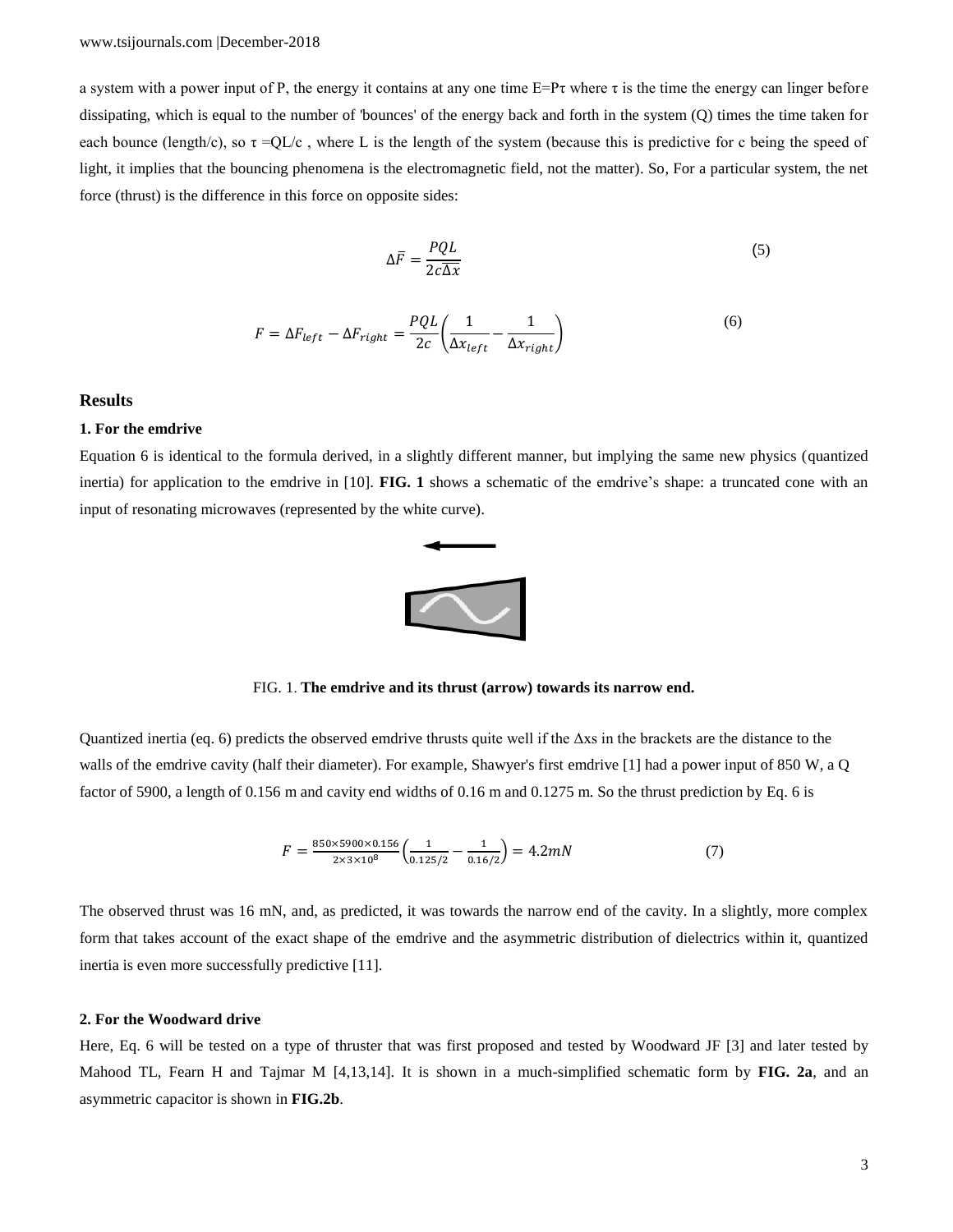a system with a power input of P, the energy it contains at any one time  $E=Pr$  where  $\tau$  is the time the energy can linger before dissipating, which is equal to the number of 'bounces' of the energy back and forth in the system (Q) times the time taken for each bounce (length/c), so  $\tau = QL/c$ , where L is the length of the system (because this is predictive for c being the speed of light, it implies that the bouncing phenomena is the electromagnetic field, not the matter). So, For a particular system, the net force (thrust) is the difference in this force on opposite sides:

$$
\Delta \overline{F} = \frac{PQL}{2c\overline{\Delta x}}\tag{5}
$$

$$
F = \Delta F_{left} - \Delta F_{right} = \frac{PQL}{2c} \left( \frac{1}{\Delta x_{left}} - \frac{1}{\Delta x_{right}} \right)
$$
(6)

## **Results**

#### **1. For the emdrive**

Equation 6 is identical to the formula derived, in a slightly different manner, but implying the same new physics (quantized inertia) for application to the emdrive in [10]. **FIG. 1** shows a schematic of the emdrive's shape: a truncated cone with an input of resonating microwaves (represented by the white curve).



FIG. 1. **The emdrive and its thrust (arrow) towards its narrow end.**

Quantized inertia (eq. 6) predicts the observed emdrive thrusts quite well if the  $\Delta xs$  in the brackets are the distance to the walls of the emdrive cavity (half their diameter). For example, Shawyer's first emdrive [1] had a power input of 850 W, a Q factor of 5900, a length of 0.156 m and cavity end widths of 0.16 m and 0.1275 m. So the thrust prediction by Eq. 6 is

$$
F = \frac{850 \times 5900 \times 0.156}{2 \times 3 \times 10^8} \left( \frac{1}{0.125/2} - \frac{1}{0.16/2} \right) = 4.2 mN
$$
 (7)

The observed thrust was 16 mN, and, as predicted, it was towards the narrow end of the cavity. In a slightly, more complex form that takes account of the exact shape of the emdrive and the asymmetric distribution of dielectrics within it, quantized inertia is even more successfully predictive [11].

## **2. For the Woodward drive**

Here, Eq. 6 will be tested on a type of thruster that was first proposed and tested by Woodward JF [3] and later tested by Mahood TL, Fearn H and Tajmar M [4,13,14]. It is shown in a much-simplified schematic form by **FIG. 2a**, and an asymmetric capacitor is shown in **FIG.2b**.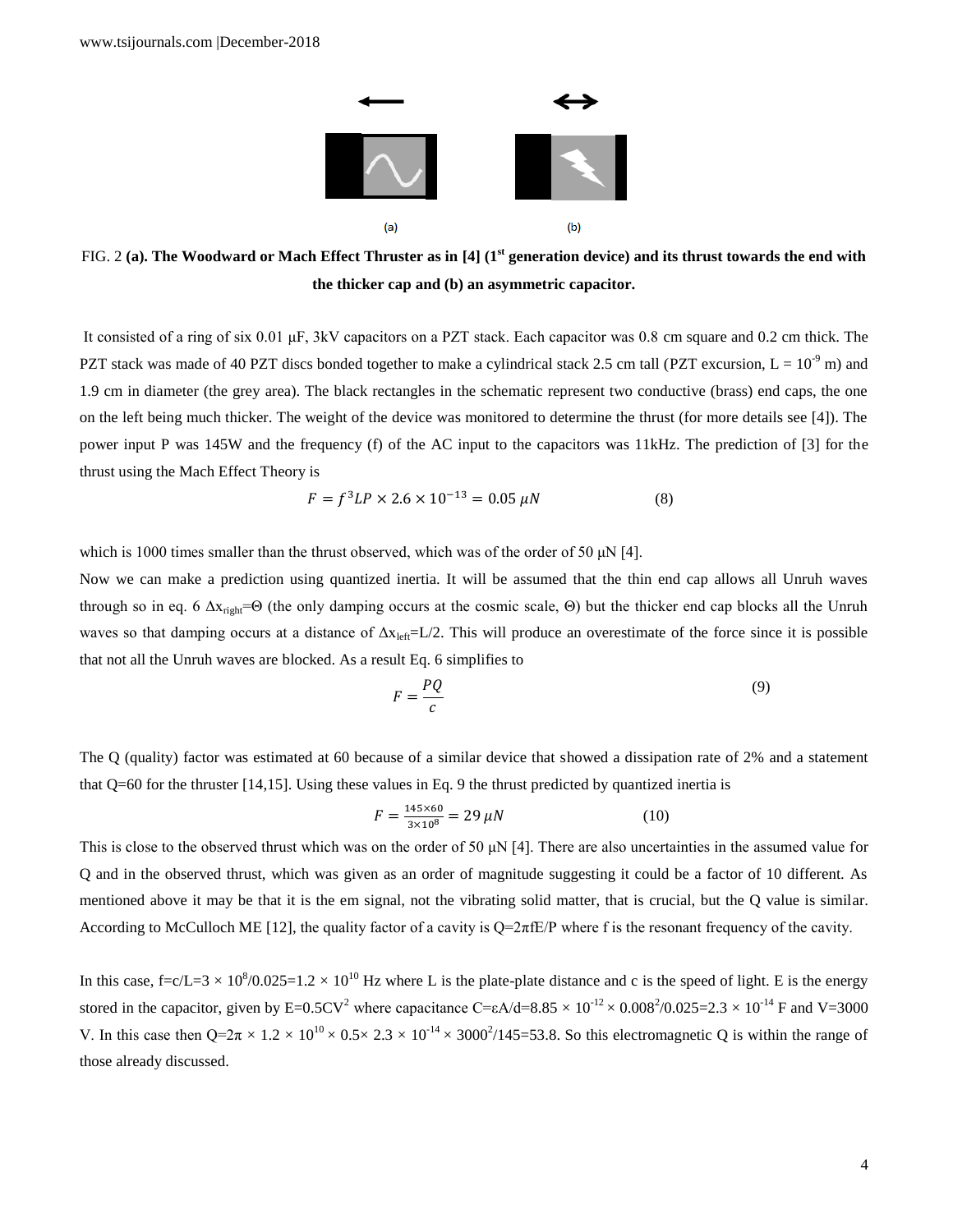

FIG. 2 **(a). The Woodward or Mach Effect Thruster as in [4] (1st generation device) and its thrust towards the end with the thicker cap and (b) an asymmetric capacitor.**

It consisted of a ring of six 0.01 μF, 3kV capacitors on a PZT stack. Each capacitor was 0.8 cm square and 0.2 cm thick. The PZT stack was made of 40 PZT discs bonded together to make a cylindrical stack 2.5 cm tall (PZT excursion,  $L = 10^{-9}$  m) and 1.9 cm in diameter (the grey area). The black rectangles in the schematic represent two conductive (brass) end caps, the one on the left being much thicker. The weight of the device was monitored to determine the thrust (for more details see [4]). The power input P was 145W and the frequency (f) of the AC input to the capacitors was 11kHz. The prediction of [3] for the thrust using the Mach Effect Theory is

$$
F = f^3 L P \times 2.6 \times 10^{-13} = 0.05 \,\mu N \tag{8}
$$

which is 1000 times smaller than the thrust observed, which was of the order of 50 μN [4].

Now we can make a prediction using quantized inertia. It will be assumed that the thin end cap allows all Unruh waves through so in eq. 6  $\Delta x_{\text{right}} = \Theta$  (the only damping occurs at the cosmic scale,  $\Theta$ ) but the thicker end cap blocks all the Unruh waves so that damping occurs at a distance of  $\Delta x_{\text{left}}=L/2$ . This will produce an overestimate of the force since it is possible that not all the Unruh waves are blocked. As a result Eq. 6 simplifies to

$$
F = \frac{PQ}{c} \tag{9}
$$

The Q (quality) factor was estimated at 60 because of a similar device that showed a dissipation rate of 2% and a statement that  $Q=60$  for the thruster [14,15]. Using these values in Eq. 9 the thrust predicted by quantized inertia is

$$
F = \frac{145 \times 60}{3 \times 10^8} = 29 \,\mu\text{N} \tag{10}
$$

This is close to the observed thrust which was on the order of 50  $\mu$ N [4]. There are also uncertainties in the assumed value for Q and in the observed thrust, which was given as an order of magnitude suggesting it could be a factor of 10 different. As mentioned above it may be that it is the em signal, not the vibrating solid matter, that is crucial, but the Q value is similar. According to McCulloch ME [12], the quality factor of a cavity is  $Q=2\pi fE/P$  where f is the resonant frequency of the cavity.

In this case,  $f = c/L = 3 \times 10^8 / 0.025 = 1.2 \times 10^{10}$  Hz where L is the plate-plate distance and c is the speed of light. E is the energy stored in the capacitor, given by  $E=0.5CV^2$  where capacitance  $C=\epsilon A/d=8.85\times 10^{-12}\times 0.008^2/0.025=2.3\times 10^{-14}$  F and V=3000 V. In this case then  $Q=2\pi \times 1.2 \times 10^{10} \times 0.5 \times 2.3 \times 10^{-14} \times 3000^2/145=53.8$ . So this electromagnetic Q is within the range of those already discussed.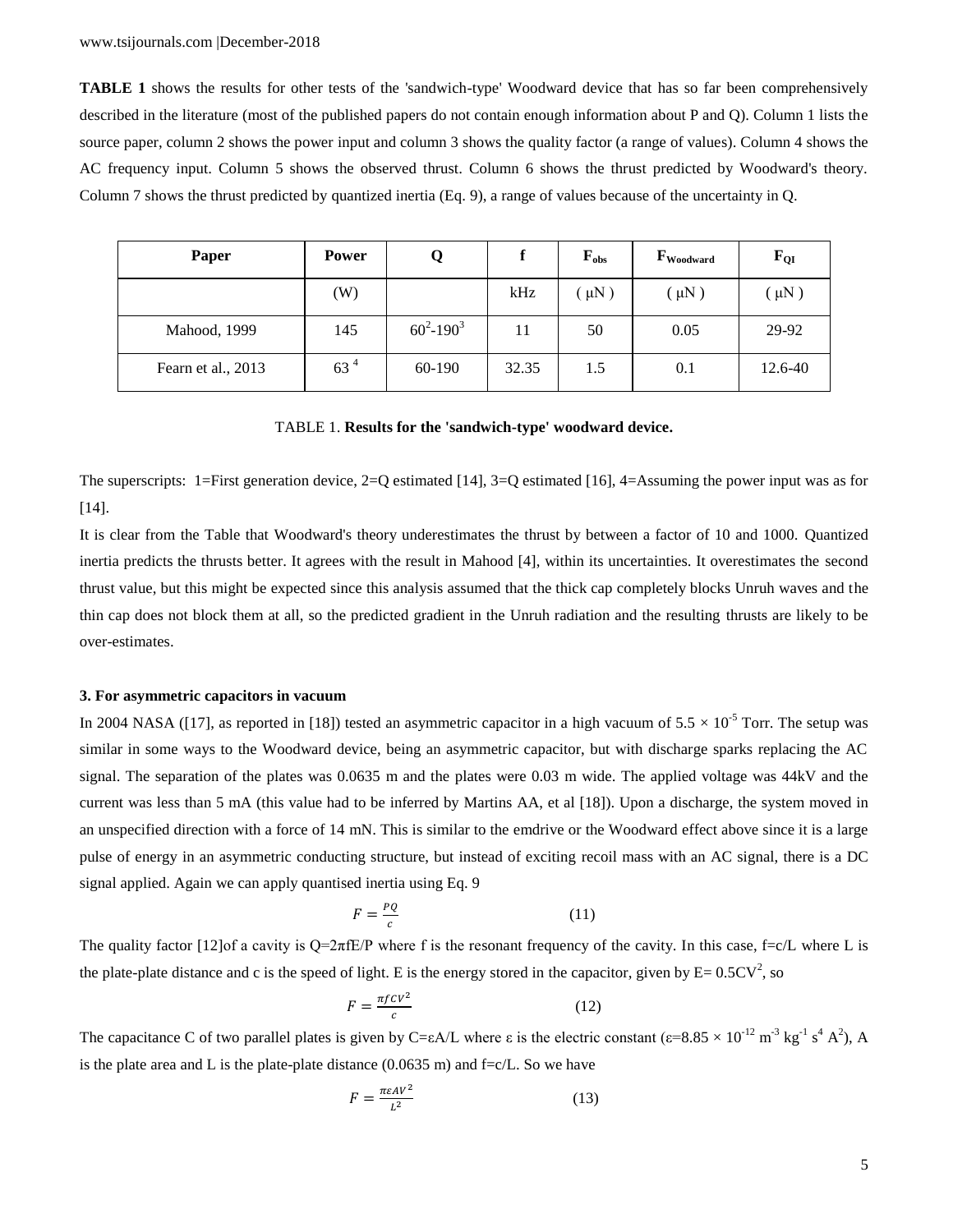**TABLE 1** shows the results for other tests of the 'sandwich-type' Woodward device that has so far been comprehensively described in the literature (most of the published papers do not contain enough information about P and Q). Column 1 lists the source paper, column 2 shows the power input and column 3 shows the quality factor (a range of values). Column 4 shows the AC frequency input. Column 5 shows the observed thrust. Column 6 shows the thrust predicted by Woodward's theory. Column 7 shows the thrust predicted by quantized inertia (Eq. 9), a range of values because of the uncertainty in Q.

| Paper              | <b>Power</b>    |                |       | $F_{obs}$ | $\mathbf{F}_{\text{Woodward}}$ | $F_{QI}$ |
|--------------------|-----------------|----------------|-------|-----------|--------------------------------|----------|
|                    | (W)             |                | kHz   | $\mu$ N)  | $(\mu N)$                      | $\mu$ N) |
| Mahood, 1999       | 145             | $60^2 - 190^3$ | 11    | 50        | 0.05                           | 29-92    |
| Fearn et al., 2013 | 63 <sup>4</sup> | 60-190         | 32.35 | 1.5       | 0.1                            | 12.6-40  |

### TABLE 1. **Results for the 'sandwich-type' woodward device.**

The superscripts: 1=First generation device, 2=Q estimated [14], 3=Q estimated [16], 4=Assuming the power input was as for [14].

It is clear from the Table that Woodward's theory underestimates the thrust by between a factor of 10 and 1000. Quantized inertia predicts the thrusts better. It agrees with the result in Mahood [4], within its uncertainties. It overestimates the second thrust value, but this might be expected since this analysis assumed that the thick cap completely blocks Unruh waves and the thin cap does not block them at all, so the predicted gradient in the Unruh radiation and the resulting thrusts are likely to be over-estimates.

#### **3. For asymmetric capacitors in vacuum**

In 2004 NASA ([17], as reported in [18]) tested an asymmetric capacitor in a high vacuum of  $5.5 \times 10^{-5}$  Torr. The setup was similar in some ways to the Woodward device, being an asymmetric capacitor, but with discharge sparks replacing the AC signal. The separation of the plates was 0.0635 m and the plates were 0.03 m wide. The applied voltage was 44kV and the current was less than 5 mA (this value had to be inferred by Martins AA, et al [18]). Upon a discharge, the system moved in an unspecified direction with a force of 14 mN. This is similar to the emdrive or the Woodward effect above since it is a large pulse of energy in an asymmetric conducting structure, but instead of exciting recoil mass with an AC signal, there is a DC signal applied. Again we can apply quantised inertia using Eq. 9

$$
F = \frac{PQ}{c} \tag{11}
$$

The quality factor [12]of a cavity is  $Q=2\pi fE/P$  where f is the resonant frequency of the cavity. In this case, f=c/L where L is the plate-plate distance and c is the speed of light. E is the energy stored in the capacitor, given by  $E = 0.5CV^2$ , so

$$
F = \frac{\pi f c v^2}{c} \tag{12}
$$

The capacitance C of two parallel plates is given by C= $\epsilon A/L$  where  $\epsilon$  is the electric constant ( $\epsilon = 8.85 \times 10^{-12}$  m<sup>-3</sup> kg<sup>-1</sup> s<sup>4</sup> A<sup>2</sup>), A is the plate area and L is the plate-plate distance  $(0.0635 \text{ m})$  and  $f = c/L$ . So we have

$$
F = \frac{\pi \varepsilon A V^2}{L^2} \tag{13}
$$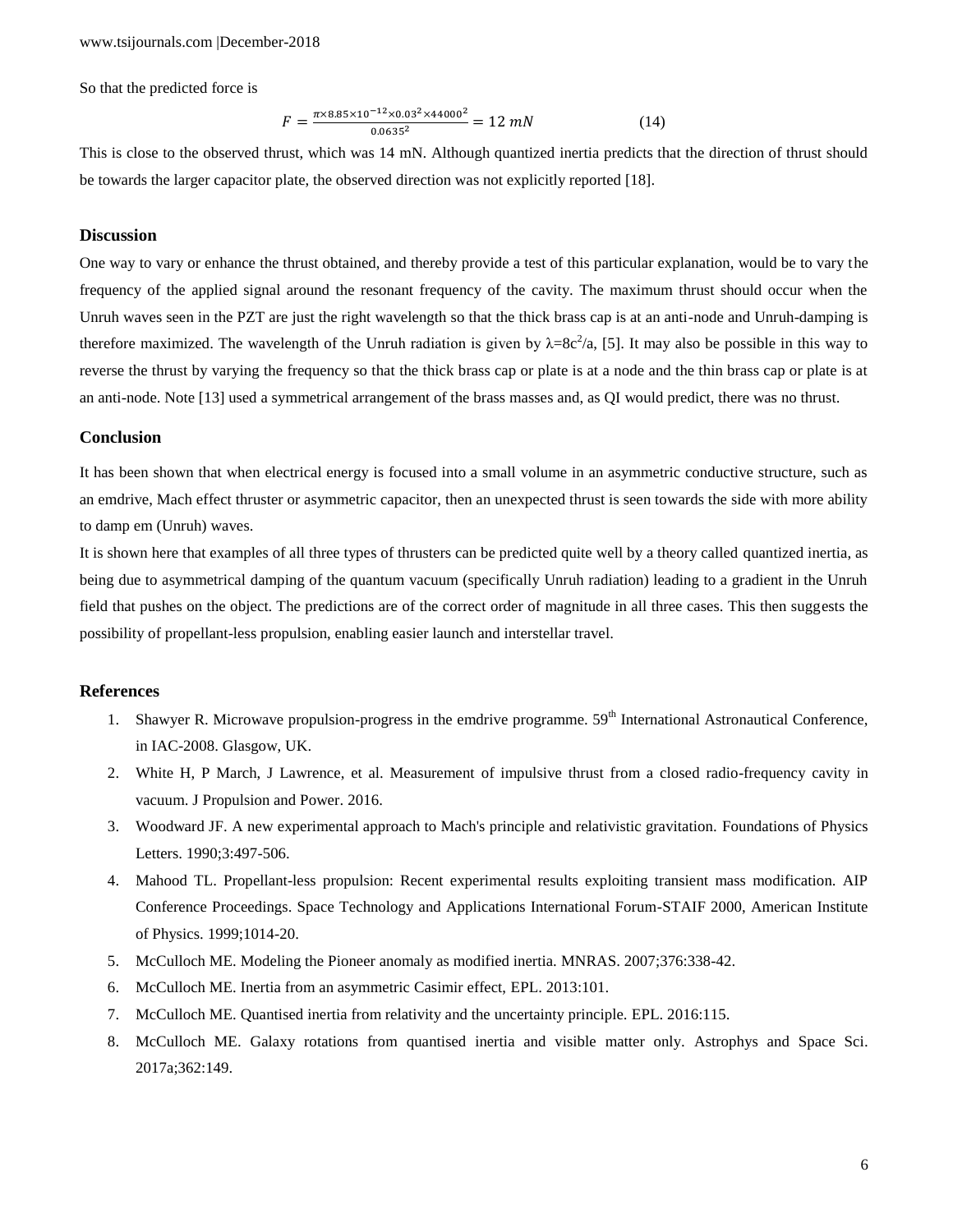So that the predicted force is

$$
F = \frac{\pi \times 8.85 \times 10^{-12} \times 0.03^2 \times 44000^2}{0.0635^2} = 12 \, \text{mN} \tag{14}
$$

This is close to the observed thrust, which was 14 mN. Although quantized inertia predicts that the direction of thrust should be towards the larger capacitor plate, the observed direction was not explicitly reported [18].

#### **Discussion**

One way to vary or enhance the thrust obtained, and thereby provide a test of this particular explanation, would be to vary the frequency of the applied signal around the resonant frequency of the cavity. The maximum thrust should occur when the Unruh waves seen in the PZT are just the right wavelength so that the thick brass cap is at an anti-node and Unruh-damping is therefore maximized. The wavelength of the Unruh radiation is given by  $\lambda = 8c^2/a$ , [5]. It may also be possible in this way to reverse the thrust by varying the frequency so that the thick brass cap or plate is at a node and the thin brass cap or plate is at an anti-node. Note [13] used a symmetrical arrangement of the brass masses and, as QI would predict, there was no thrust.

## **Conclusion**

It has been shown that when electrical energy is focused into a small volume in an asymmetric conductive structure, such as an emdrive, Mach effect thruster or asymmetric capacitor, then an unexpected thrust is seen towards the side with more ability to damp em (Unruh) waves.

It is shown here that examples of all three types of thrusters can be predicted quite well by a theory called quantized inertia, as being due to asymmetrical damping of the quantum vacuum (specifically Unruh radiation) leading to a gradient in the Unruh field that pushes on the object. The predictions are of the correct order of magnitude in all three cases. This then suggests the possibility of propellant-less propulsion, enabling easier launch and interstellar travel.

#### **References**

- 1. Shawyer R. Microwave propulsion-progress in the emdrive programme. 59<sup>th</sup> International Astronautical Conference, in IAC-2008. Glasgow, UK.
- 2. White H, P March, J Lawrence, et al. Measurement of impulsive thrust from a closed radio-frequency cavity in vacuum. J Propulsion and Power. 2016.
- 3. Woodward JF. A new experimental approach to Mach's principle and relativistic gravitation. Foundations of Physics Letters. 1990;3:497-506.
- 4. Mahood TL. Propellant-less propulsion: Recent experimental results exploiting transient mass modification. AIP Conference Proceedings. Space Technology and Applications International Forum-STAIF 2000, American Institute of Physics. 1999;1014-20.
- 5. McCulloch ME. Modeling the Pioneer anomaly as modified inertia. MNRAS. 2007;376:338-42.
- 6. McCulloch ME. Inertia from an asymmetric Casimir effect, EPL. 2013:101.
- 7. McCulloch ME. Quantised inertia from relativity and the uncertainty principle. EPL. 2016:115.
- 8. McCulloch ME. Galaxy rotations from quantised inertia and visible matter only. Astrophys and Space Sci. 2017a;362:149.